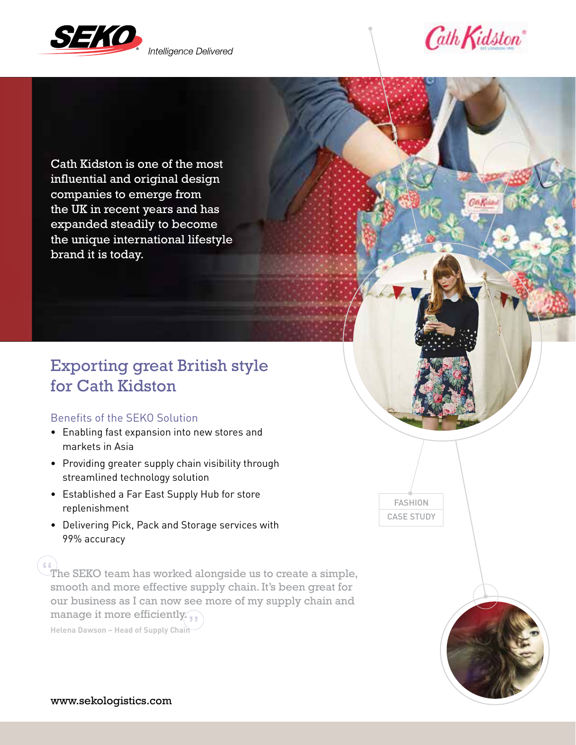

Intelligence Delivered



Ga Kian

Cath Kidston is one of the most influential and original design companies to emerge from the UK in recent years and has expanded steadily to become the unique international lifestyle brand it is today.

# Exporting great British style for Cath Kidston

## Benefits of the SEKO Solution

- Enabling fast expansion into new stores and markets in Asia
- Providing greater supply chain visibility through streamlined technology solution
- Established a Far East Supply Hub for store replenishment
- Delivering Pick, Pack and Storage services with 99% accuracy

 $\Gamma$  The SEKO team has worked alongside us to create a simple, smooth and more effective supply chain. It's been great for our business as I can now see more of my supply chain and manage it more efficiently. **Helena Dawson – Head of Supply Chain** "



FASHION CASE STUDY